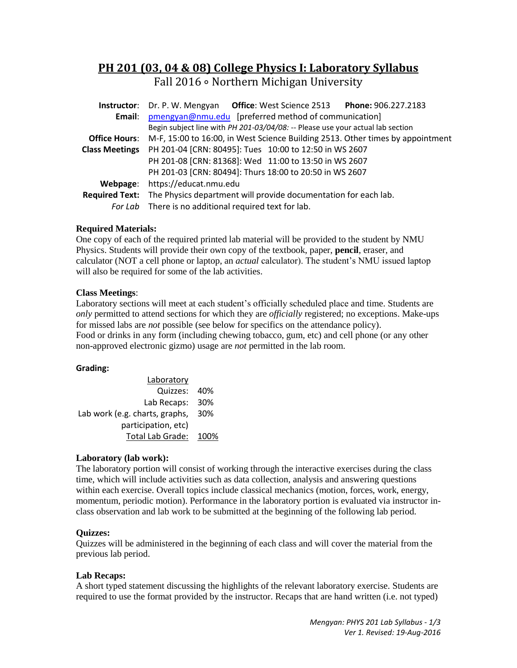# **PH 201 (03, 04 & 08) College Physics I: Laboratory Syllabus** Fall 2016 ∘ Northern Michigan University

|                       | Instructor: Dr. P. W. Mengyan Office: West Science 2513 Phone: 906.227.2183                         |  |  |  |
|-----------------------|-----------------------------------------------------------------------------------------------------|--|--|--|
| Email:                | pmengyan@nmu.edu [preferred method of communication]                                                |  |  |  |
|                       | Begin subject line with PH 201-03/04/08: -- Please use your actual lab section                      |  |  |  |
|                       | <b>Office Hours:</b> M-F, 15:00 to 16:00, in West Science Building 2513. Other times by appointment |  |  |  |
| <b>Class Meetings</b> | PH 201-04 [CRN: 80495]: Tues 10:00 to 12:50 in WS 2607                                              |  |  |  |
|                       | PH 201-08 [CRN: 81368]: Wed 11:00 to 13:50 in WS 2607                                               |  |  |  |
|                       | PH 201-03 [CRN: 80494]: Thurs 18:00 to 20:50 in WS 2607                                             |  |  |  |
| Webpage:              | https://educat.nmu.edu                                                                              |  |  |  |
|                       | Required Text: The Physics department will provide documentation for each lab.                      |  |  |  |
|                       | For Lab There is no additional required text for lab.                                               |  |  |  |

# **Required Materials:**

One copy of each of the required printed lab material will be provided to the student by NMU Physics. Students will provide their own copy of the textbook, paper, **pencil**, eraser, and calculator (NOT a cell phone or laptop, an *actual* calculator). The student's NMU issued laptop will also be required for some of the lab activities.

#### **Class Meetings**:

Laboratory sections will meet at each student's officially scheduled place and time. Students are *only* permitted to attend sections for which they are *officially* registered; no exceptions. Make-ups for missed labs are *not* possible (see below for specifics on the attendance policy). Food or drinks in any form (including chewing tobacco, gum, etc) and cell phone (or any other non-approved electronic gizmo) usage are *not* permitted in the lab room.

#### **Grading:**

| Laboratory                     |      |
|--------------------------------|------|
| Quizzes:                       | 40%  |
| Lab Recaps:                    | 30%  |
| Lab work (e.g. charts, graphs, | 30%  |
| participation, etc)            |      |
| Total Lab Grade:               | 100% |

# **Laboratory (lab work):**

The laboratory portion will consist of working through the interactive exercises during the class time, which will include activities such as data collection, analysis and answering questions within each exercise. Overall topics include classical mechanics (motion, forces, work, energy, momentum, periodic motion). Performance in the laboratory portion is evaluated via instructor inclass observation and lab work to be submitted at the beginning of the following lab period.

#### **Quizzes:**

Quizzes will be administered in the beginning of each class and will cover the material from the previous lab period.

#### **Lab Recaps:**

A short typed statement discussing the highlights of the relevant laboratory exercise. Students are required to use the format provided by the instructor. Recaps that are hand written (i.e. not typed)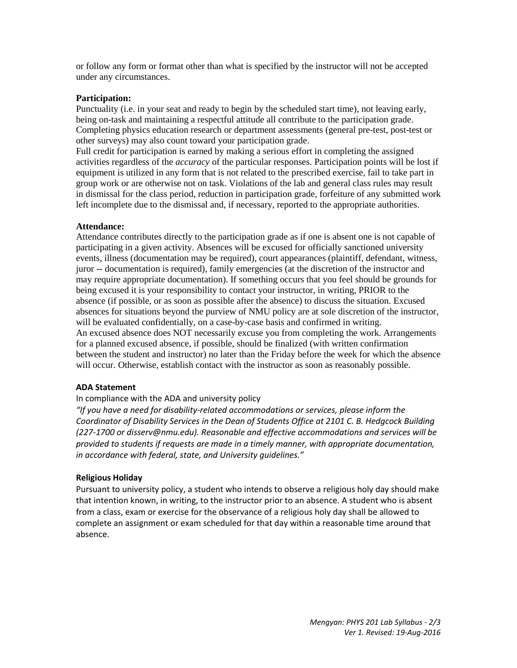or follow any form or format other than what is specified by the instructor will not be accepted under any circumstances.

#### **Participation:**

Punctuality (i.e. in your seat and ready to begin by the scheduled start time), not leaving early, being on-task and maintaining a respectful attitude all contribute to the participation grade. Completing physics education research or department assessments (general pre-test, post-test or other surveys) may also count toward your participation grade.

Full credit for participation is earned by making a serious effort in completing the assigned activities regardless of the *accuracy* of the particular responses. Participation points will be lost if equipment is utilized in any form that is not related to the prescribed exercise, fail to take part in group work or are otherwise not on task. Violations of the lab and general class rules may result in dismissal for the class period, reduction in participation grade, forfeiture of any submitted work left incomplete due to the dismissal and, if necessary, reported to the appropriate authorities.

#### **Attendance:**

Attendance contributes directly to the participation grade as if one is absent one is not capable of participating in a given activity. Absences will be excused for officially sanctioned university events, illness (documentation may be required), court appearances (plaintiff, defendant, witness, juror -- documentation is required), family emergencies (at the discretion of the instructor and may require appropriate documentation). If something occurs that you feel should be grounds for being excused it is your responsibility to contact your instructor, in writing, PRIOR to the absence (if possible, or as soon as possible after the absence) to discuss the situation. Excused absences for situations beyond the purview of NMU policy are at sole discretion of the instructor, will be evaluated confidentially, on a case-by-case basis and confirmed in writing. An excused absence does NOT necessarily excuse you from completing the work. Arrangements for a planned excused absence, if possible, should be finalized (with written confirmation between the student and instructor) no later than the Friday before the week for which the absence will occur. Otherwise, establish contact with the instructor as soon as reasonably possible.

#### **ADA Statement**

#### In compliance with the ADA and university policy

*"If you have a need for disability-related accommodations or services, please inform the Coordinator of Disability Services in the Dean of Students Office at 2101 C. B. Hedgcock Building (227-1700 or disserv@nmu.edu). Reasonable and effective accommodations and services will be provided to students if requests are made in a timely manner, with appropriate documentation, in accordance with federal, state, and University guidelines."*

#### **Religious Holiday**

Pursuant to university policy, a student who intends to observe a religious holy day should make that intention known, in writing, to the instructor prior to an absence. A student who is absent from a class, exam or exercise for the observance of a religious holy day shall be allowed to complete an assignment or exam scheduled for that day within a reasonable time around that absence.